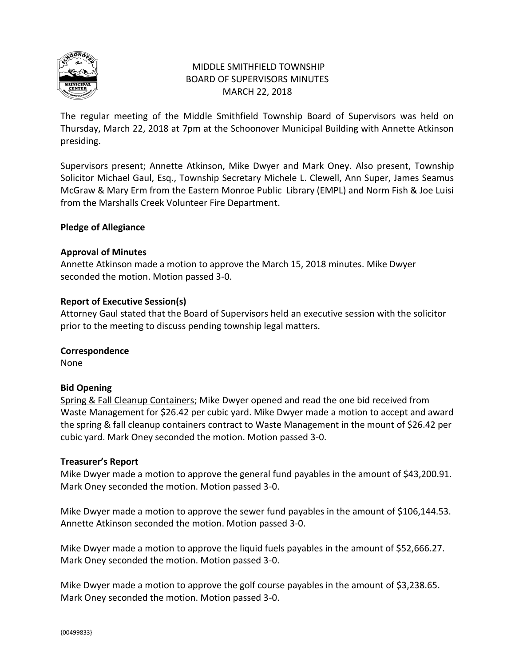

## MIDDLE SMITHFIELD TOWNSHIP BOARD OF SUPERVISORS MINUTES MARCH 22, 2018

The regular meeting of the Middle Smithfield Township Board of Supervisors was held on Thursday, March 22, 2018 at 7pm at the Schoonover Municipal Building with Annette Atkinson presiding.

Supervisors present; Annette Atkinson, Mike Dwyer and Mark Oney. Also present, Township Solicitor Michael Gaul, Esq., Township Secretary Michele L. Clewell, Ann Super, James Seamus McGraw & Mary Erm from the Eastern Monroe Public Library (EMPL) and Norm Fish & Joe Luisi from the Marshalls Creek Volunteer Fire Department.

## **Pledge of Allegiance**

## **Approval of Minutes**

Annette Atkinson made a motion to approve the March 15, 2018 minutes. Mike Dwyer seconded the motion. Motion passed 3-0.

## **Report of Executive Session(s)**

Attorney Gaul stated that the Board of Supervisors held an executive session with the solicitor prior to the meeting to discuss pending township legal matters.

## **Correspondence**

None

## **Bid Opening**

Spring & Fall Cleanup Containers; Mike Dwyer opened and read the one bid received from Waste Management for \$26.42 per cubic yard. Mike Dwyer made a motion to accept and award the spring & fall cleanup containers contract to Waste Management in the mount of \$26.42 per cubic yard. Mark Oney seconded the motion. Motion passed 3-0.

## **Treasurer's Report**

Mike Dwyer made a motion to approve the general fund payables in the amount of \$43,200.91. Mark Oney seconded the motion. Motion passed 3-0.

Mike Dwyer made a motion to approve the sewer fund payables in the amount of \$106,144.53. Annette Atkinson seconded the motion. Motion passed 3-0.

Mike Dwyer made a motion to approve the liquid fuels payables in the amount of \$52,666.27. Mark Oney seconded the motion. Motion passed 3-0.

Mike Dwyer made a motion to approve the golf course payables in the amount of \$3,238.65. Mark Oney seconded the motion. Motion passed 3-0.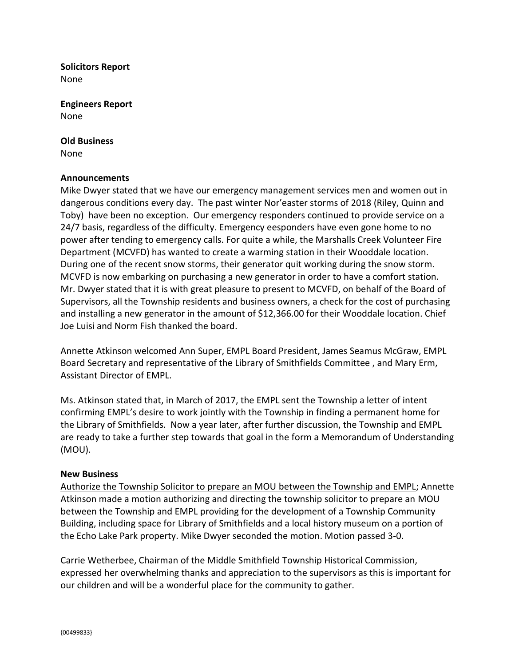**Solicitors Report** None

**Engineers Report** None

#### **Old Business**

None

#### **Announcements**

Mike Dwyer stated that we have our emergency management services men and women out in dangerous conditions every day. The past winter Nor'easter storms of 2018 (Riley, Quinn and Toby) have been no exception. Our emergency responders continued to provide service on a 24/7 basis, regardless of the difficulty. Emergency eesponders have even gone home to no power after tending to emergency calls. For quite a while, the Marshalls Creek Volunteer Fire Department (MCVFD) has wanted to create a warming station in their Wooddale location. During one of the recent snow storms, their generator quit working during the snow storm. MCVFD is now embarking on purchasing a new generator in order to have a comfort station. Mr. Dwyer stated that it is with great pleasure to present to MCVFD, on behalf of the Board of Supervisors, all the Township residents and business owners, a check for the cost of purchasing and installing a new generator in the amount of \$12,366.00 for their Wooddale location. Chief Joe Luisi and Norm Fish thanked the board.

Annette Atkinson welcomed Ann Super, EMPL Board President, James Seamus McGraw, EMPL Board Secretary and representative of the Library of Smithfields Committee , and Mary Erm, Assistant Director of EMPL.

Ms. Atkinson stated that, in March of 2017, the EMPL sent the Township a letter of intent confirming EMPL's desire to work jointly with the Township in finding a permanent home for the Library of Smithfields. Now a year later, after further discussion, the Township and EMPL are ready to take a further step towards that goal in the form a Memorandum of Understanding (MOU).

#### **New Business**

Authorize the Township Solicitor to prepare an MOU between the Township and EMPL; Annette Atkinson made a motion authorizing and directing the township solicitor to prepare an MOU between the Township and EMPL providing for the development of a Township Community Building, including space for Library of Smithfields and a local history museum on a portion of the Echo Lake Park property. Mike Dwyer seconded the motion. Motion passed 3-0.

Carrie Wetherbee, Chairman of the Middle Smithfield Township Historical Commission, expressed her overwhelming thanks and appreciation to the supervisors as this is important for our children and will be a wonderful place for the community to gather.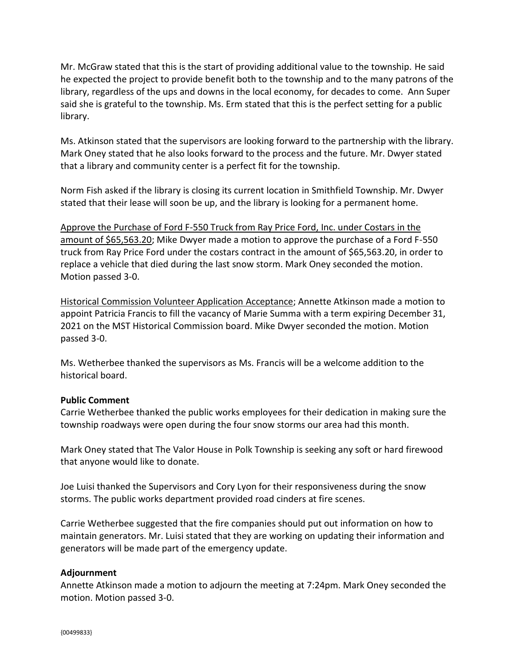Mr. McGraw stated that this is the start of providing additional value to the township. He said he expected the project to provide benefit both to the township and to the many patrons of the library, regardless of the ups and downs in the local economy, for decades to come. Ann Super said she is grateful to the township. Ms. Erm stated that this is the perfect setting for a public library.

Ms. Atkinson stated that the supervisors are looking forward to the partnership with the library. Mark Oney stated that he also looks forward to the process and the future. Mr. Dwyer stated that a library and community center is a perfect fit for the township.

Norm Fish asked if the library is closing its current location in Smithfield Township. Mr. Dwyer stated that their lease will soon be up, and the library is looking for a permanent home.

Approve the Purchase of Ford F-550 Truck from Ray Price Ford, Inc. under Costars in the amount of \$65,563.20; Mike Dwyer made a motion to approve the purchase of a Ford F-550 truck from Ray Price Ford under the costars contract in the amount of \$65,563.20, in order to replace a vehicle that died during the last snow storm. Mark Oney seconded the motion. Motion passed 3-0.

Historical Commission Volunteer Application Acceptance; Annette Atkinson made a motion to appoint Patricia Francis to fill the vacancy of Marie Summa with a term expiring December 31, 2021 on the MST Historical Commission board. Mike Dwyer seconded the motion. Motion passed 3-0.

Ms. Wetherbee thanked the supervisors as Ms. Francis will be a welcome addition to the historical board.

## **Public Comment**

Carrie Wetherbee thanked the public works employees for their dedication in making sure the township roadways were open during the four snow storms our area had this month.

Mark Oney stated that The Valor House in Polk Township is seeking any soft or hard firewood that anyone would like to donate.

Joe Luisi thanked the Supervisors and Cory Lyon for their responsiveness during the snow storms. The public works department provided road cinders at fire scenes.

Carrie Wetherbee suggested that the fire companies should put out information on how to maintain generators. Mr. Luisi stated that they are working on updating their information and generators will be made part of the emergency update.

## **Adjournment**

Annette Atkinson made a motion to adjourn the meeting at 7:24pm. Mark Oney seconded the motion. Motion passed 3-0.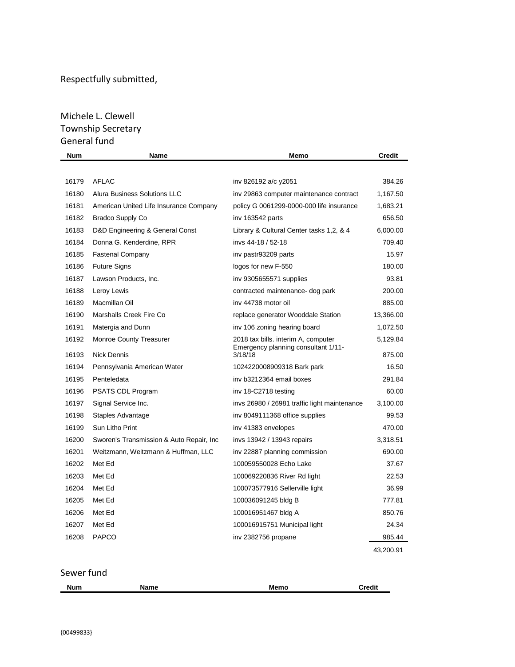# Respectfully submitted,

# Michele L. Clewell Township Secretary General fund

| Num   | Name                                     | Memo                                           | Credit    |
|-------|------------------------------------------|------------------------------------------------|-----------|
|       |                                          |                                                |           |
| 16179 | <b>AFLAC</b>                             | inv 826192 a/c y2051                           | 384.26    |
| 16180 | Alura Business Solutions LLC             | inv 29863 computer maintenance contract        | 1,167.50  |
| 16181 | American United Life Insurance Company   | policy G 0061299-0000-000 life insurance       | 1,683.21  |
| 16182 | <b>Bradco Supply Co</b>                  | inv 163542 parts                               | 656.50    |
| 16183 | D&D Engineering & General Const          | Library & Cultural Center tasks 1,2, & 4       | 6,000.00  |
| 16184 | Donna G. Kenderdine, RPR                 | inys 44-18 / 52-18                             | 709.40    |
| 16185 | <b>Fastenal Company</b>                  | inv pastr93209 parts                           | 15.97     |
| 16186 | <b>Future Signs</b>                      | logos for new F-550                            | 180.00    |
| 16187 | Lawson Products, Inc.                    | inv 9305655571 supplies                        | 93.81     |
| 16188 | Leroy Lewis                              | contracted maintenance- dog park               | 200.00    |
| 16189 | Macmillan Oil                            | iny 44738 motor oil                            | 885.00    |
| 16190 | Marshalls Creek Fire Co                  | replace generator Wooddale Station             | 13,366.00 |
| 16191 | Matergia and Dunn                        | inv 106 zoning hearing board                   | 1,072.50  |
| 16192 | Monroe County Treasurer                  | 2018 tax bills. interim A, computer            | 5,129.84  |
| 16193 | Nick Dennis                              | Emergency planning consultant 1/11-<br>3/18/18 | 875.00    |
| 16194 | Pennsylvania American Water              | 1024220008909318 Bark park                     | 16.50     |
| 16195 | Penteledata                              | iny b3212364 email boxes                       | 291.84    |
| 16196 | PSATS CDL Program                        | inv 18-C2718 testing                           | 60.00     |
| 16197 | Signal Service Inc.                      | invs 26980 / 26981 traffic light maintenance   | 3,100.00  |
| 16198 | Staples Advantage                        | inv 8049111368 office supplies                 | 99.53     |
| 16199 | Sun Litho Print                          | inv 41383 envelopes                            | 470.00    |
| 16200 | Sworen's Transmission & Auto Repair, Inc | invs 13942 / 13943 repairs                     | 3,318.51  |
| 16201 | Weitzmann, Weitzmann & Huffman, LLC      | inv 22887 planning commission                  | 690.00    |
| 16202 | Met Ed                                   | 100059550028 Echo Lake                         | 37.67     |
| 16203 | Met Ed                                   | 100069220836 River Rd light                    | 22.53     |
| 16204 | Met Ed                                   | 100073577916 Sellerville light                 | 36.99     |
| 16205 | Met Ed                                   | 100036091245 bldg B                            | 777.81    |
| 16206 | Met Ed                                   | 100016951467 bldg A                            | 850.76    |
| 16207 | Met Ed                                   | 100016915751 Municipal light                   | 24.34     |
| 16208 | <b>PAPCO</b>                             | inv 2382756 propane                            | 985.44    |
|       |                                          |                                                | 43,200.91 |

## Sewer fund

| Num | <b>Name</b> | Memc | <b>Prodit</b><br>,ı eur |
|-----|-------------|------|-------------------------|
|     |             |      |                         |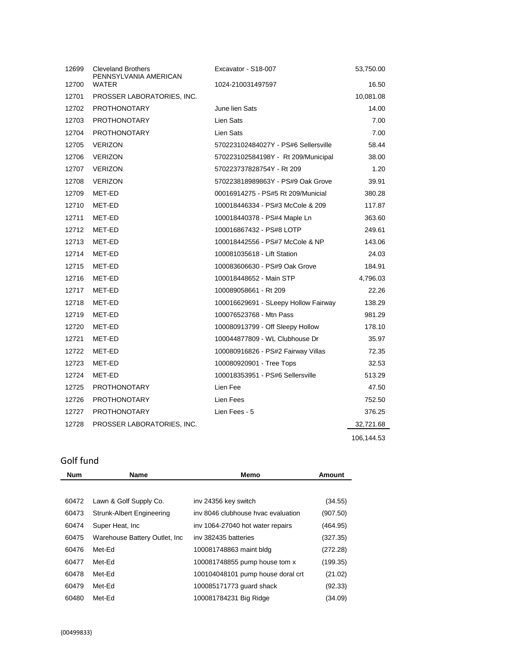| 12699 | <b>Cleveland Brothers</b><br>PENNSYLVANIA AMERICAN | Excavator - S18-007                  | 53,750.00  |
|-------|----------------------------------------------------|--------------------------------------|------------|
| 12700 | <b>WATER</b>                                       | 1024-210031497597                    | 16.50      |
| 12701 | PROSSER LABORATORIES, INC.                         |                                      | 10,081.08  |
| 12702 | <b>PROTHONOTARY</b>                                | June lien Sats                       | 14.00      |
| 12703 | <b>PROTHONOTARY</b>                                | Lien Sats                            | 7.00       |
| 12704 | <b>PROTHONOTARY</b>                                | Lien Sats                            | 7.00       |
| 12705 | <b>VERIZON</b>                                     | 570223102484027Y - PS#6 Sellersville | 58.44      |
| 12706 | <b>VERIZON</b>                                     | 570223102584198Y - Rt 209/Municipal  | 38.00      |
| 12707 | <b>VERIZON</b>                                     | 570223737828754Y - Rt 209            | 1.20       |
| 12708 | <b>VERIZON</b>                                     | 570223818989863Y - PS#9 Oak Grove    | 39.91      |
| 12709 | MET-ED                                             | 00016914275 - PS#5 Rt 209/Municial   | 380.28     |
| 12710 | MET-ED                                             | 100018446334 - PS#3 McCole & 209     | 117.87     |
| 12711 | MET-ED                                             | 100018440378 - PS#4 Maple Ln         | 363.60     |
| 12712 | MET-ED                                             | 100016867432 - PS#8 LOTP             | 249.61     |
| 12713 | MET-ED                                             | 100018442556 - PS#7 McCole & NP      | 143.06     |
| 12714 | MET-ED                                             | 100081035618 - Lift Station          | 24.03      |
| 12715 | MET-ED                                             | 100083606630 - PS#9 Oak Grove        | 184.91     |
| 12716 | MET-ED                                             | 100018448652 - Main STP              | 4,796.03   |
| 12717 | MET-ED                                             | 100089058661 - Rt 209                | 22.26      |
| 12718 | MET-ED                                             | 100016629691 - SLeepy Hollow Fairway | 138.29     |
| 12719 | MET-ED                                             | 100076523768 - Mtn Pass              | 981.29     |
| 12720 | MET-ED                                             | 100080913799 - Off Sleepy Hollow     | 178.10     |
| 12721 | MET-ED                                             | 100044877809 - WL Clubhouse Dr       | 35.97      |
| 12722 | MET-ED                                             | 100080916826 - PS#2 Fairway Villas   | 72.35      |
| 12723 | MET-ED                                             | 100080920901 - Tree Tops             | 32.53      |
| 12724 | MET-ED                                             | 100018353951 - PS#6 Sellersville     | 513.29     |
| 12725 | <b>PROTHONOTARY</b>                                | Lien Fee                             | 47.50      |
| 12726 | <b>PROTHONOTARY</b>                                | Lien Fees                            | 752.50     |
| 12727 | <b>PROTHONOTARY</b>                                | Lien Fees - 5                        | 376.25     |
| 12728 | PROSSER LABORATORIES, INC.                         |                                      | 32,721.68  |
|       |                                                    |                                      | 106,144.53 |

# Golf fund

| <b>Num</b> | <b>Name</b>                    | Memo                               | Amount   |
|------------|--------------------------------|------------------------------------|----------|
|            |                                |                                    |          |
| 60472      | Lawn & Golf Supply Co.         | inv 24356 key switch               | (34.55)  |
| 60473      | Strunk-Albert Engineering      | iny 8046 clubhouse hyac evaluation | (907.50) |
| 60474      | Super Heat, Inc.               | inv 1064-27040 hot water repairs   | (464.95) |
| 60475      | Warehouse Battery Outlet, Inc. | iny 382435 batteries               | (327.35) |
| 60476      | Met-Ed                         | 100081748863 maint bldg            | (272.28) |
| 60477      | Met-Ed                         | 100081748855 pump house tom x      | (199.35) |
| 60478      | Met-Ed                         | 100104048101 pump house doral crt  | (21.02)  |
| 60479      | Met-Ed                         | 100085171773 guard shack           | (92.33)  |
| 60480      | Met-Ed                         | 100081784231 Big Ridge             | (34.09)  |